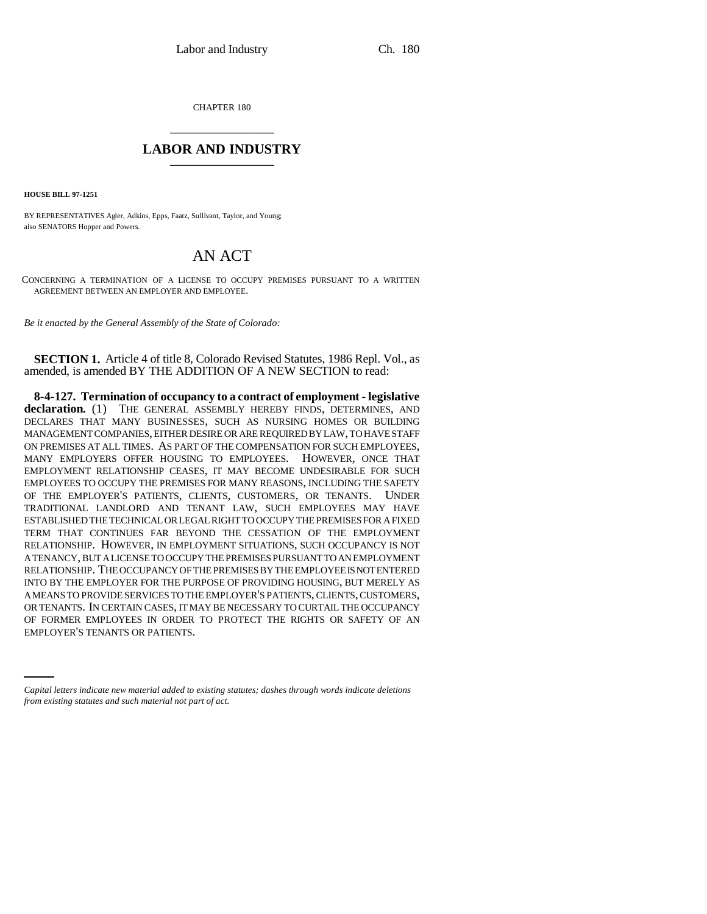CHAPTER 180 \_\_\_\_\_\_\_\_\_\_\_\_\_\_\_

## **LABOR AND INDUSTRY** \_\_\_\_\_\_\_\_\_\_\_\_\_\_\_

**HOUSE BILL 97-1251**

BY REPRESENTATIVES Agler, Adkins, Epps, Faatz, Sullivant, Taylor, and Young; also SENATORS Hopper and Powers.

## AN ACT

CONCERNING A TERMINATION OF A LICENSE TO OCCUPY PREMISES PURSUANT TO A WRITTEN AGREEMENT BETWEEN AN EMPLOYER AND EMPLOYEE.

*Be it enacted by the General Assembly of the State of Colorado:*

**SECTION 1.** Article 4 of title 8, Colorado Revised Statutes, 1986 Repl. Vol., as amended, is amended BY THE ADDITION OF A NEW SECTION to read:

OF FORMER EMPLOYEES IN ORDER TO PROTECT THE RIGHTS OR SAFETY OF AN **8-4-127. Termination of occupancy to a contract of employment - legislative declaration.** (1) THE GENERAL ASSEMBLY HEREBY FINDS, DETERMINES, AND DECLARES THAT MANY BUSINESSES, SUCH AS NURSING HOMES OR BUILDING MANAGEMENT COMPANIES, EITHER DESIRE OR ARE REQUIRED BY LAW, TO HAVE STAFF ON PREMISES AT ALL TIMES. AS PART OF THE COMPENSATION FOR SUCH EMPLOYEES, MANY EMPLOYERS OFFER HOUSING TO EMPLOYEES. HOWEVER, ONCE THAT EMPLOYMENT RELATIONSHIP CEASES, IT MAY BECOME UNDESIRABLE FOR SUCH EMPLOYEES TO OCCUPY THE PREMISES FOR MANY REASONS, INCLUDING THE SAFETY OF THE EMPLOYER'S PATIENTS, CLIENTS, CUSTOMERS, OR TENANTS. UNDER TRADITIONAL LANDLORD AND TENANT LAW, SUCH EMPLOYEES MAY HAVE ESTABLISHED THE TECHNICAL OR LEGAL RIGHT TO OCCUPY THE PREMISES FOR A FIXED TERM THAT CONTINUES FAR BEYOND THE CESSATION OF THE EMPLOYMENT RELATIONSHIP. HOWEVER, IN EMPLOYMENT SITUATIONS, SUCH OCCUPANCY IS NOT A TENANCY, BUT A LICENSE TO OCCUPY THE PREMISES PURSUANT TO AN EMPLOYMENT RELATIONSHIP. THE OCCUPANCY OF THE PREMISES BY THE EMPLOYEE IS NOT ENTERED INTO BY THE EMPLOYER FOR THE PURPOSE OF PROVIDING HOUSING, BUT MERELY AS A MEANS TO PROVIDE SERVICES TO THE EMPLOYER'S PATIENTS, CLIENTS, CUSTOMERS, OR TENANTS. IN CERTAIN CASES, IT MAY BE NECESSARY TO CURTAIL THE OCCUPANCY EMPLOYER'S TENANTS OR PATIENTS.

*Capital letters indicate new material added to existing statutes; dashes through words indicate deletions from existing statutes and such material not part of act.*